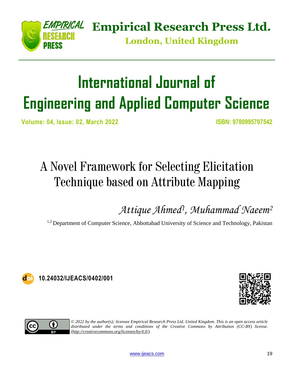

**Empirical Research Press Ltd.**

**London, United Kingdom**

# **International Journal of Engineering and Applied Computer Science**

**Volume: 04, Issue: 02, March 2022 ISBN: 9780995707542**

## A Novel Framework for Selecting Elicitation Technique based on Attribute Mapping

*Attique Ahmed<sup>1</sup> , Muhammad Naeem<sup>2</sup>*

<sup>1,2</sup> Department of Computer Science, Abbottabad University of Science and Technology, Pakistan



**10.24032/IJEACS/0402/001**





*© 2022 by the author(s); licensee Empirical Research Press Ltd. United Kingdom. This is an open access article distributed under the terms and conditions of the Creative Commons by Attribution (CC-BY) license. [\(http://creativecommons.org/licenses/by/4.0/\)](http://creativecommons.org/licenses/by/4.0/).*

[www.ijeacs.com](http://ijeacs.com/) 19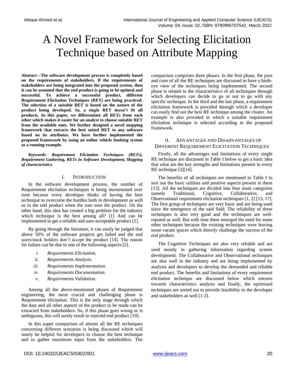### A Novel Framework for Selecting Elicitation Technique based on Attribute Mapping

*Abstract***—The software development process is completely based on the requirements of stakeholders. If the requirements of stakeholders are being integrated into the proposed system, then it can be assumed that the end product is going to be optimal and successful. To achieve a successful product, different Requirement Elicitation Techniques (RET) are being practiced. The selection of a suitable RET is based on the nature of the product being developed. So, a single RET doesn't fit all products. In this paper, we differentiate all RETs from each other which makes it easier for an analyst to choose suitable RET from the available ones. We further designed a novel mapping framework that extracts the best suited RET to any software based on its attributes. We have further implemented the proposed framework by using an online vehicle booking system as a running example.**

*Keywords- Requirement Elicitation Techniques (RETs), Requirement Gathering, RETs in Software Development, Mapping of characteristics.*

#### I. INTRODUCTION

In the software development process, the number of Requirement elicitation techniques is being incremented over time because every developer thinks of having the best technique to overcome the hurdles both in development as well as in the end product when the user uses the product. On the other hand, this idea has created a big problem for the industry which technique is the best among all? [1] And can be implemented to get a reliable and user-acceptable product [1].

By going through the literature, it can easily be judged that above 50% of the software projects get failed and the end users/stack holders don't accept the product [14]. The reason for failure can be due to one of the following aspects [2].

- *i. Requirements Elicitation.*
- *ii. Requirements Analysis.*
- *iii. Requirements Implementation.*
- *iv. Requirements Documentation.*
- *v. Requirements Validation.*

Among all the above-mentioned phases of Requirement engineering, the most crucial and challenging phase is Requirement elicitation. This is the only stage through which the data and all other aspects of the product to be made can be extracted from stakeholders. So, if this phase goes wrong or is ambiguous, this will surely result in rejected end product [19].

In this paper comparison of almost all the RE techniques concerning different scenarios is being discussed which will surely be helpful for developers to choose the best technique and to gather maximum input from the stakeholders. The comparison comprises three phases. In the first phase, the pros and cons of all the RE techniques are discussed to have a birdseye view of the techniques being implemented. The second phase is related to the characteristics of all techniques through which developers can decide to go or not to go with any specific technique. In the third and the last phase, a requirement elicitation framework is provided through which a developer can easily find out the best RE technique among the cluster. An example is also provided in which a suitable requirement elicitation technique is selected according to the proposed framework.

#### II. ADVANTAGES AND DISADVANTAGES OF DIFFERENT REQUIREMENT ELICITATION TECHNIQUES

Firstly, all the advantages and limitations of every single RE technique are discussed in Table I below to get a basic idea that what are the key strengths and limitations present in every RE technique [3][14].

The benefits of all techniques are mentioned in Table I to sort out the basic utilities and positive aspects present in them [13]. All the techniques are divided into four main categories namely Traditional, Cognitive, Collaborative, and Observational requirement elicitation techniques [1, 2] [13, 17]. The first group of techniques are very basic and are being used since the emergence of the said field. The reliability of these techniques is also very good and the techniques are wellreputed as well. But with time there emerged the need for some other techniques because the existing techniques were leaving some vacant spaces which directly challenge the success of the end product.

The Cognitive Techniques are also very reliable and are used mostly in gathering information regarding system development. The Collaborative and Observational techniques are also well in the industry and are being implemented by analysts and developers to develop the demanded and reliable end product. The benefits and limitations of every requirement elicitation technique are discussed below which enroots towards characteristics analysis and finally, the optimized techniques are sorted out to provide feasibility to the developer and stakeholders as well [1-3].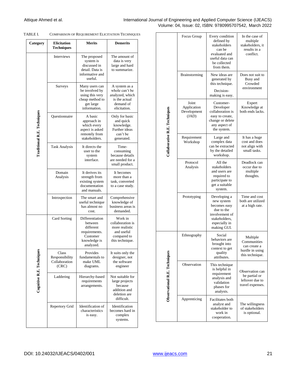#### Attique Ahmed et al. **International Journal of Engineering and Applied Computer Science (IJEACS)** Volume: 04, Issue: 02, ISBN: 9780995707542, March 2022

| <b>COMPARISON OF REQUIREMENT ELICITATION TECHNIQUES</b> |
|---------------------------------------------------------|
|                                                         |

| Category                           | <b>Elicitation</b><br><b>Techniques</b>           | <b>Merits</b>                                                                                       | <b>Demerits</b>                                                                                  |  |
|------------------------------------|---------------------------------------------------|-----------------------------------------------------------------------------------------------------|--------------------------------------------------------------------------------------------------|--|
|                                    | Interviews                                        | The proposed<br>system is<br>discussed in<br>detail. Data is<br>informative and<br>useful.          | The amount of<br>data is very<br>large and hard<br>to summarize.                                 |  |
| <b>Traditional R.E. Techniques</b> | Surveys                                           | Many users can<br>be involved by<br>using this very<br>cheap method to<br>get large<br>information. | A system as a<br>whole can't be<br>analyzed, which<br>is the actual<br>demand of<br>elicitation. |  |
|                                    | Questionnaire                                     | A basic<br>approach in<br>which every<br>aspect is asked<br>remotely from<br>stakeholders.          | Only for basic<br>and quick<br>knowledge.<br>Further ideas<br>can't be<br>generated.             |  |
|                                    | <b>Task Analysis</b>                              | It directs the<br>user to the<br>system<br>interface.                                               | Time-<br>consuming<br>because details<br>are needed for a<br>small product.                      |  |
|                                    | Domain<br>Analysis                                | It derives its<br>strength from<br>existing system<br>documentation<br>and manuals.                 | It becomes<br>more than a<br>task, converted<br>to a case study.                                 |  |
|                                    | Introspection                                     | The smart and<br>useful technique<br>has almost no<br>cost.                                         | Comprehensive<br>knowledge of<br>business areas is<br>demanded.                                  |  |
|                                    | Card Sorting                                      | Differentiation<br>between<br>different<br>requirements.<br>Customer<br>knowledge is<br>analyzed.   | Work in<br>collaboration is<br>more realistic<br>and useful<br>compared to<br>this technique.    |  |
| 3<br>Cognitive R.E. Techniqu       | Class<br>Responsibility<br>Collaboration<br>(CRC) | Provides<br>fundamentals to<br>make UML<br>diagrams.                                                | It suits only the<br>designer, not<br>the software<br>engineer                                   |  |
|                                    | Laddering                                         | Hierarchy-based<br>requirements<br>arrangements.                                                    | Not suitable for<br>large projects<br>because<br>addition and<br>deletion are<br>difficult.      |  |
|                                    | Repertory Grid                                    | Identification of<br>characteristics<br>is easy.                                                    | Identification<br>becomes hard in<br>complex<br>systems.                                         |  |

|                               | Focus Group                                  | Every condition<br>defined by<br>stakeholders<br>can be<br>evaluated and<br>useful data can<br>be collected<br>from them.   | In the case of<br>multiple<br>stakeholders, it<br>results in a<br>conflict.   |
|-------------------------------|----------------------------------------------|-----------------------------------------------------------------------------------------------------------------------------|-------------------------------------------------------------------------------|
| Collaborative R.E. Techniques | <b>Brainstorming</b>                         | New ideas are<br>generated by<br>this technique.<br>Decision-<br>making is easy.                                            | Does not suit to<br>Busy and<br>Crowded<br>environment                        |
|                               | Joint<br>Application<br>Development<br>(JAD) | Customer-<br>Developer<br>collaboration is<br>easy to create,<br>change or delete<br>any aspect of<br>the system.           | Expert<br>Knowledge at<br>both ends lacks.                                    |
|                               | Requirement<br>Workshop                      | Large and<br>complex data<br>can be extracted<br>by the detailed<br>workshop.                                               | It has a huge<br>cost and does<br>not align with<br>small tasks.              |
|                               | Protocol<br>Analysis                         | All the<br>stakeholders<br>and users are<br>required to<br>participate to<br>get a suitable<br>system.                      | Deadlock can<br>occur due to<br>multiple<br>thoughts.                         |
|                               | Prototyping                                  | Developing a<br>new system<br>becomes easy<br>due to the<br>involvement of<br>stakeholders.<br>especially in<br>making GUI. | Time and cost<br>both are utilized<br>at a high rate.                         |
|                               | Ethnography                                  | Social<br>behaviors are<br>brought into<br>context to get<br>quality<br>attributes.                                         | Multiple<br>Communities<br>can create a<br>hurdle in using<br>this technique. |
| Observational R.E. Techniques | Observation                                  | This technique<br>is helpful in<br>requirement<br>analysis and<br>validation<br>phases for<br>analysts.                     | Observation can<br>be partial or<br>leftover due to<br>travel expenses.       |
|                               | Apprenticing                                 | Facilitates both<br>analyst and<br>stakeholder to<br>work in<br>cooperation.                                                | The willingness<br>of stakeholders<br>is optional.                            |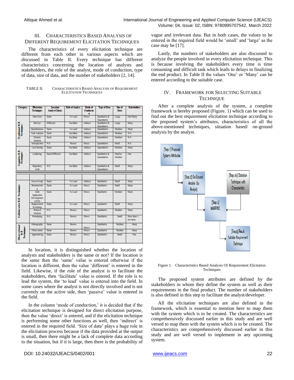#### III. CHARACTERISTICS BASED ANALYSIS OF DIFFERENT REQUIREMENT ELICITATION TECHNIQUES

The characteristics of every elicitation technique are different from each other in various aspects which are discussed in Table II. Every technique has different characteristics concerning the location of analysts and stakeholders, the role of the analyst, mode of conduction, type of data, size of data, and the number of stakeholders [2, 14].

| TABLE II. | <b>CHARACTERISTICS BASED ANALYSIS OF REQUIREMENT</b> |
|-----------|------------------------------------------------------|
|           | <b>ELICITATION TECHNIQUES</b>                        |

| <b>Category</b>                    | <b>Elicitation</b>                                  | Location               | <b>Role of Analyst</b> | Mode of          | <b>Type of Data</b>                  | Size of            | <b>Stakeholders</b>      |
|------------------------------------|-----------------------------------------------------|------------------------|------------------------|------------------|--------------------------------------|--------------------|--------------------------|
|                                    | <b>Techniques</b>                                   | <b>Analyst/Clients</b> |                        | <b>Conductio</b> |                                      | <b>Data</b>        |                          |
|                                    |                                                     |                        |                        | п                |                                      |                    |                          |
|                                    | Interviews                                          | <b>Same</b>            | To Lead                | <b>Direct</b>    | <b>Qualitative &amp;</b>             | Large              | One/Many                 |
|                                    |                                                     |                        |                        |                  | <b>Ouantitative</b>                  |                    |                          |
|                                    | <b>Surveys</b>                                      | <b>Different</b>       | <b>Facilitate</b>      | Indirect         | Qualitative &                        | Large              | Many                     |
|                                    |                                                     |                        |                        |                  | Ouantitative                         |                    |                          |
|                                    | Questionnaire                                       | Same                   | To Lead                | Indirect         | <b>Quantitative</b>                  | Medium             | Many                     |
|                                    | <b>Task Analysis</b>                                | Same                   | <b>Facilitate</b>      | Indirect         | <b>Quantitative</b>                  | Medium             | $N/\Lambda$              |
| Traditional R.E.<br>Techniques     | <b>Domain</b><br><b>Analysis</b>                    | Same                   | <b>Facilitate</b>      | Indirect         | <b>Quantitative</b>                  | Medium             | $N/\Lambda$              |
|                                    | Introspection                                       | N/A                    | Passive                | <b>Direct</b>    | <b>Quantitative</b>                  | Small              | <b>N/A</b>               |
|                                    | <b>Card Sorting</b>                                 | <b>Same</b>            | <b>Facilitate</b>      | Indirect         | <b>Ouantitative</b>                  | Medium             | Many                     |
| Cognitive R.E.<br>Techniques       | Laddering                                           | Same/Different         | <b>Facilitate</b>      | Indirect         | Qualitative &<br><b>Ouantitative</b> | Small to<br>Medium | One                      |
|                                    | <b>Repository</b><br>Grid                           | N/A                    | <b>Facilitate</b>      | Indirect         | Qualitative &<br><b>Ouantitative</b> | <b>Small</b>       | Many                     |
|                                    |                                                     |                        |                        |                  |                                      |                    |                          |
|                                    |                                                     |                        |                        |                  |                                      |                    |                          |
|                                    | <b>Focus Group</b>                                  | <b>Same</b>            | To Lead                | Indirect         | <b>Oualitative</b>                   | Small              | Many                     |
|                                    | <b>Bra</b> instormin                                | Same                   | To Lead                | Direct           | <b>Qualitative</b>                   | Small              | Many                     |
| Collaborative R.E. Techniques      | <b>Joint</b><br>Application<br>Development<br>(JAD) | Same                   | To Lead                | Direct           | <b>Qualitative</b>                   | Medium             | Many                     |
|                                    | Requirement<br>Workshop                             | Same                   | To Lead                | <b>Direct</b>    | Qualitative                          | <b>Small</b>       | Many                     |
|                                    | Protocol<br>Analysis                                | $N/\Lambda$            | Passive                | Direct           | <b>Qualitative</b>                   | Medium             | Many                     |
|                                    | <b>Prototyping</b>                                  | $N/\Lambda$            | Passive                | <b>Direct</b>    | <b>Qualitative</b>                   | Small              | More than 1.<br>not many |
|                                    | Ethnography                                         | Same                   | Passive                | Direct           | <b>Qualitative</b>                   | Medium             | Many                     |
|                                    | Observation                                         | Same                   | Passive                | Direct           | Qualitative                          | Medium             | Many                     |
| Obervational<br>R.E.<br>Pechniques | Apprenticing                                        | Same                   | Passive                | Direct           | <b>Qualitative</b>                   | Small              | One                      |

In location, it is distinguished whether the location of analysts and stakeholders is the same or not? If the location is the same then the 'same' value is entered otherwise if the location is different, then the value 'different' is entered in the field. Likewise, if the role of the analyst is to facilitate the stakeholders, then 'facilitate' value is entered. If the role is to lead the system, the 'to lead' value is entered into the field. In some cases where the analyst is not directly involved and is not currently on the active side, then 'passive' value is entered in the field.

In the column 'mode of conduction,' it is decided that if the elicitation technique is designed for direct elicitation purpose, then the value 'direct' is entered, and if the elicitation technique is performing some other functions as well, then 'indirect' is entered in the required field. 'Size of data' plays a huge role in the elicitation process because if the data provided at the output is small, then there might be a lack of complete data according to the situation, but if it is large, then there is the probability of

DOI: 10.24032/IJEACS/0402/001 [www.ijeacs.com](http://ijeacs.com/) 22

vague and irrelevant data. But in both cases, the values to be entered in the required field would be 'small' and 'large' as the case may be [17].

Lastly, the numbers of stakeholders are also discussed to analyze the people involved in every elicitation technique. This is because involving the stakeholders every time is time consuming and difficult task which leads to delays in finalizing the end product. In Table II the values 'One' or 'Many' can be entered according to the suitable case.

#### IV. FRAMEWORK FOR SELECTING SUITABLE **TECHNIQUE**

After a complete analysis of the system, a complete framework is hereby proposed (Figure. 1) which can be used to find out the best requirement elicitation technique according to the proposed system's attributes, characteristics of all the above-mentioned techniques, situation based/ on-ground analysis by the analyst.



Figure 1. Characteristics Based Analysis Of Requirement Elicitation **Techniques** 

The proposed system attributes are defined by the stakeholders in whom they define the system as well as their requirements in the final product. The number of stakeholders is also defined in this step to facilitate the analyst/developer.

All the elicitation techniques are also defined in the framework, which is essential to mention here to map them with the system which is to be created. The characteristics are comprehensively discussed earlier in this study and are well versed to map them with the system which is to be created. The characteristics are comprehensively discussed earlier in this study and are well versed to implement in any upcoming system.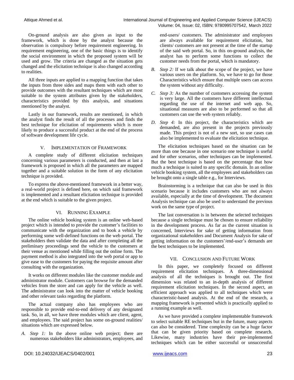On-ground analysis are also given as input to the framework, which is done by the analyst because the observation is compulsory before requirement engineering. In requirement engineering, one of the basic things is to identify the social environment in which the proposed system will be used and grow. The criteria are changed as the situation gets changed and the elicitation technique is also changed according to realities.

All three inputs are applied to a mapping function that takes the inputs from three sides and maps them with each other to provide outcomes with the resultant techniques which are most suitable to the system attributes given by the stakeholders, characteristics provided by this analysis, and situations mentioned by the analyst.

Lastly in our framework, results are mentioned, in which the analyst finds the result of all the processes and finds the best technique for elicitation of requirements which is more likely to produce a successful product at the end of the process of software development life cycle.

#### V. IMPLEMENTATION OF FRAMEWORK

A complete study of different elicitation techniques concerning various parameters is conducted, and then at last a framework is proposed in which all the parameters are mapped together and a suitable solution in the form of any elicitation technique is provided.

To express the above-mentioned framework in a better way, a real-world project is defined here, on which said framework is implemented and a resultant elicitation technique is provided at the end which is suitable to the given project.

#### VI. RUNNING EXAMPLE

The online vehicle booking system is an online web-based project which is intended to provide the customer's facilities to communicate with the organization and to book a vehicle by performing some well-defined functions on the web portal. The stakeholders then validate the data and after completing all the preliminary proceedings send the vehicle to the customers at their venue as mentioned while filling out the online form. The payment method is also integrated into the web portal or app to give ease to the customers for paying the requisite amount after consulting with the organization.

It works on different modules like the customer module and administrator module. Customers can browse for the demanded vehicles from the store and can apply for the vehicle as well. The administrator can look into the matter of vehicle booking and other relevant tasks regarding the platform.

The actual company also has employees who are responsible to provide end-to-end delivery of any designated task. So, in all, we have three modules which are client, agent, and employees. The said project has some on-ground realities/ situations which are expressed below.

*A. Step 1:* In the above online web project; there are numerous stakeholders like administrators, employees, and end-users/ customers. The administrator and employees are always available for requirement elicitation, but clients/ customers are not present at the time of the startup of the said web portal. So, in this on-ground analysis, the analyst has to perform some functions to collect the customer needs from the portal, which is mandatory.

- *B. Step 2:* If we talk about the scope of the project, we have various users on the platform. So, we have to go for those Characteristics which ensure that multiple users can access the system without any difficulty.
- *C. Step 3:* As the number of customers accessing the system is very large. All the customers have different intellectual regarding the use of the internet and web app. So, situational measures are also to be performed so that all customers can use the web system reliably.
- *D. Step 4:* In this project, the characteristics which are demanded, are also present in the projects previously made. This project is not of a new sort, so use cases can also be implemented to evaluate the elicitation technique.

The elicitation techniques based on the situation can be more than one because in one scenario one technique is useful and for other scenarios, other techniques can be implemented. But the best technique is based on the percentage that how much a technique is suited to any specific domain. In an online vehicle booking system, all the employees and stakeholders can be brought onto a single table e.g., for Interviews.

Brainstorming is a technique that can also be used in this scenario because it includes customers who are not always available, especially at the time of development. The document Analysis technique can also be used to understand the previous work on the same type of project.

The last conversation is in between the selected techniques because a single technique must be chosen to ensure reliability in the development process. As far as the current situation is concerned, Interviews for sake of getting information from organizational stakeholders and Document Analysis for sake of getting information on the customers'/end-user's demands are the best techniques to be implemented.

#### VII. CONCLUSION AND FUTURE WORK

In this paper, we completely focused on different requirement elicitation techniques. A three-dimensional analysis of all the techniques is brought out. The first dimension was related to an in-depth analysis of different requirement elicitation techniques. In the second aspect, an efficient approach was applied to all techniques which were characteristic-based analysis. At the end of the research, a mapping framework is presented which is practically applied to a running example as well.

As we have provided a complete implementable framework to select suitable RE techniques but in the future, many aspects can also be considered. Time complexity can be a huge factor that can be given priority based on complete research. Likewise, many industries have their pre-implemented techniques which can be either successful or unsuccessful